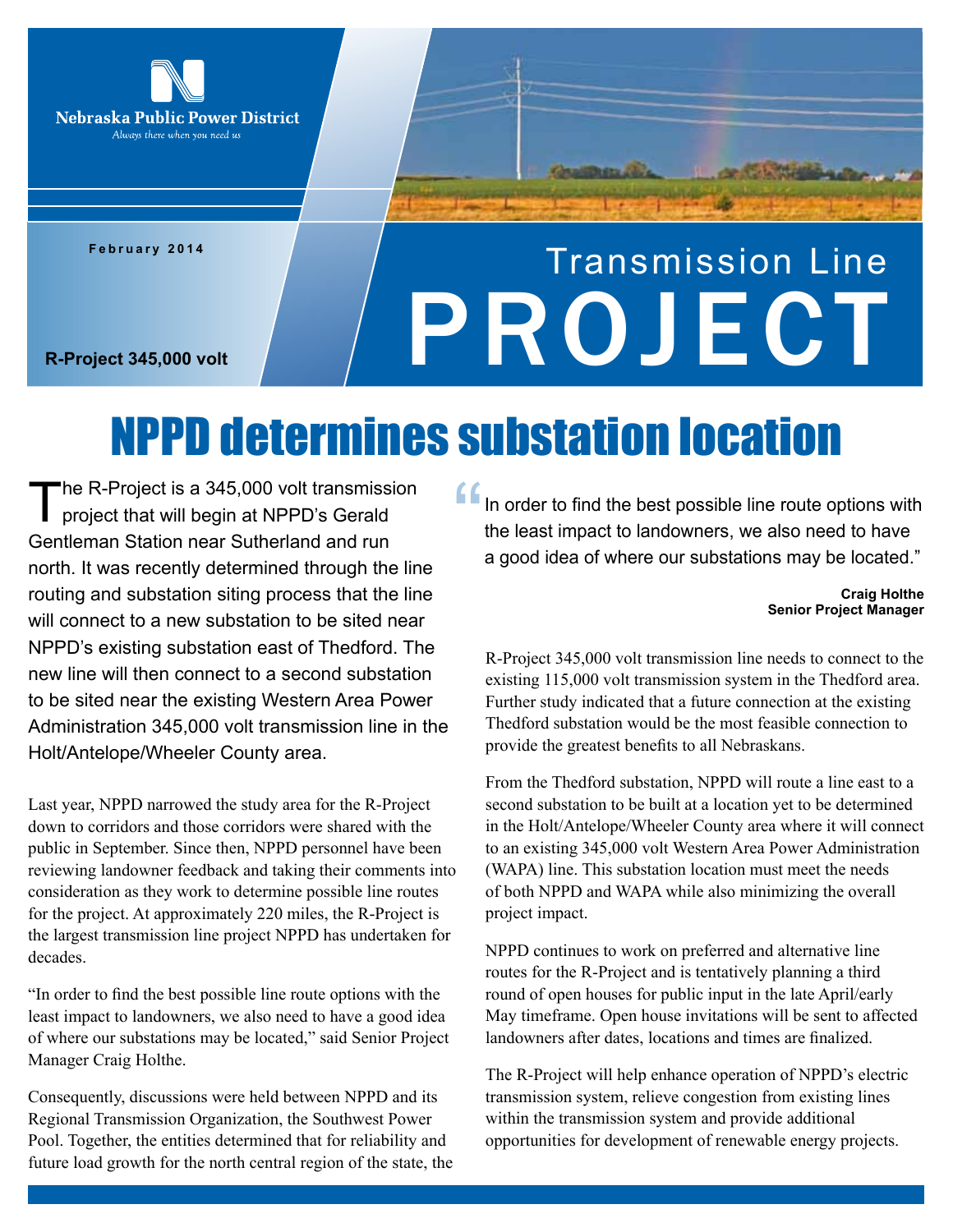

**February 2014**

## Transmission Line R-Project 345,000 volt<br>R-Project 345,000 volt

### NPPD determines substation location

The R-Project is a 345,000 volt transmission<br>project that will begin at NPPD's Gerald Gentleman Station near Sutherland and run north. It was recently determined through the line routing and substation siting process that the line will connect to a new substation to be sited near NPPD's existing substation east of Thedford. The new line will then connect to a second substation to be sited near the existing Western Area Power Administration 345,000 volt transmission line in the Holt/Antelope/Wheeler County area.

Last year, NPPD narrowed the study area for the R-Project down to corridors and those corridors were shared with the public in September. Since then, NPPD personnel have been reviewing landowner feedback and taking their comments into consideration as they work to determine possible line routes for the project. At approximately 220 miles, the R-Project is the largest transmission line project NPPD has undertaken for decades.

"In order to find the best possible line route options with the least impact to landowners, we also need to have a good idea of where our substations may be located," said Senior Project Manager Craig Holthe.

Consequently, discussions were held between NPPD and its Regional Transmission Organization, the Southwest Power Pool. Together, the entities determined that for reliability and future load growth for the north central region of the state, the

In order to find the best possible line route options with the least impact to landowners, we also need to have "<br>"<br>" a good idea of where our substations may be located."

> **Craig Holthe Senior Project Manager**

R-Project 345,000 volt transmission line needs to connect to the existing 115,000 volt transmission system in the Thedford area. Further study indicated that a future connection at the existing Thedford substation would be the most feasible connection to provide the greatest benefits to all Nebraskans.

From the Thedford substation, NPPD will route a line east to a second substation to be built at a location yet to be determined in the Holt/Antelope/Wheeler County area where it will connect to an existing 345,000 volt Western Area Power Administration (WAPA) line. This substation location must meet the needs of both NPPD and WAPA while also minimizing the overall project impact.

NPPD continues to work on preferred and alternative line routes for the R-Project and is tentatively planning a third round of open houses for public input in the late April/early May timeframe. Open house invitations will be sent to affected landowners after dates, locations and times are finalized.

The R-Project will help enhance operation of NPPD's electric transmission system, relieve congestion from existing lines within the transmission system and provide additional opportunities for development of renewable energy projects.